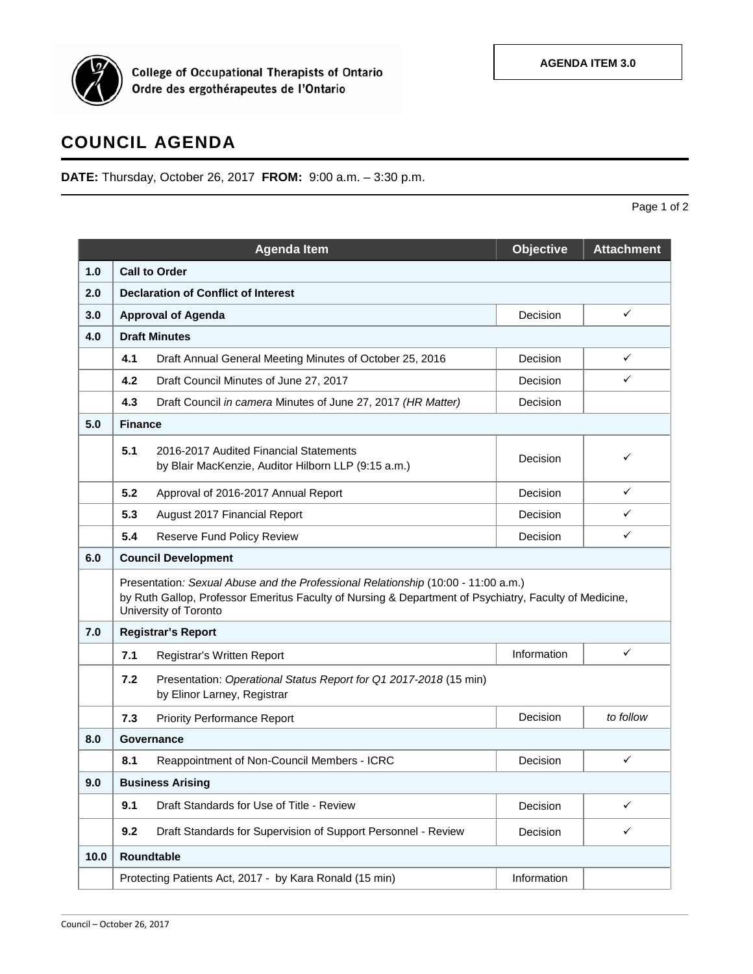

College of Occupational Therapists of Ontario<br>Ordre des ergothérapeutes de l'Ontario

## **COUNCIL AGENDA**

**DATE:** Thursday, October 26, 2017 **FROM:** 9:00 a.m. – 3:30 p.m.

|      |                                                                                                                                                                                                                      | <b>Agenda Item</b>                                                                            | <b>Objective</b> | <b>Attachment</b> |  |  |
|------|----------------------------------------------------------------------------------------------------------------------------------------------------------------------------------------------------------------------|-----------------------------------------------------------------------------------------------|------------------|-------------------|--|--|
| 1.0  | <b>Call to Order</b>                                                                                                                                                                                                 |                                                                                               |                  |                   |  |  |
| 2.0  | <b>Declaration of Conflict of Interest</b>                                                                                                                                                                           |                                                                                               |                  |                   |  |  |
| 3.0  |                                                                                                                                                                                                                      | <b>Approval of Agenda</b>                                                                     | Decision         | ✓                 |  |  |
| 4.0  | <b>Draft Minutes</b>                                                                                                                                                                                                 |                                                                                               |                  |                   |  |  |
|      | 4.1                                                                                                                                                                                                                  | Draft Annual General Meeting Minutes of October 25, 2016                                      | Decision         | $\checkmark$      |  |  |
|      | 4.2                                                                                                                                                                                                                  | Draft Council Minutes of June 27, 2017                                                        | Decision         | ✓                 |  |  |
|      | 4.3                                                                                                                                                                                                                  | Draft Council in camera Minutes of June 27, 2017 (HR Matter)                                  | Decision         |                   |  |  |
| 5.0  | <b>Finance</b>                                                                                                                                                                                                       |                                                                                               |                  |                   |  |  |
|      | 5.1                                                                                                                                                                                                                  | 2016-2017 Audited Financial Statements<br>by Blair MacKenzie, Auditor Hilborn LLP (9:15 a.m.) | Decision         | ✓                 |  |  |
|      | 5.2                                                                                                                                                                                                                  | Approval of 2016-2017 Annual Report                                                           | Decision         | ✓                 |  |  |
|      | 5.3                                                                                                                                                                                                                  | August 2017 Financial Report                                                                  | Decision         | $\checkmark$      |  |  |
|      | 5.4                                                                                                                                                                                                                  | Reserve Fund Policy Review                                                                    | Decision         | ✓                 |  |  |
| 6.0  | <b>Council Development</b>                                                                                                                                                                                           |                                                                                               |                  |                   |  |  |
|      | Presentation: Sexual Abuse and the Professional Relationship (10:00 - 11:00 a.m.)<br>by Ruth Gallop, Professor Emeritus Faculty of Nursing & Department of Psychiatry, Faculty of Medicine,<br>University of Toronto |                                                                                               |                  |                   |  |  |
| 7.0  | <b>Registrar's Report</b>                                                                                                                                                                                            |                                                                                               |                  |                   |  |  |
|      | 7.1                                                                                                                                                                                                                  | Registrar's Written Report                                                                    | Information      | ✓                 |  |  |
|      | 7.2<br>Presentation: Operational Status Report for Q1 2017-2018 (15 min)<br>by Elinor Larney, Registrar                                                                                                              |                                                                                               |                  |                   |  |  |
|      | 7.3                                                                                                                                                                                                                  | <b>Priority Performance Report</b>                                                            | Decision         | to follow         |  |  |
| 8.0  | Governance                                                                                                                                                                                                           |                                                                                               |                  |                   |  |  |
|      | 8.1                                                                                                                                                                                                                  | Reappointment of Non-Council Members - ICRC                                                   | Decision         | ✓                 |  |  |
| 9.0  | <b>Business Arising</b>                                                                                                                                                                                              |                                                                                               |                  |                   |  |  |
|      | 9.1                                                                                                                                                                                                                  | Draft Standards for Use of Title - Review                                                     | Decision         | ✓                 |  |  |
|      | 9.2                                                                                                                                                                                                                  | Draft Standards for Supervision of Support Personnel - Review                                 | Decision         | $\checkmark$      |  |  |
| 10.0 | Roundtable                                                                                                                                                                                                           |                                                                                               |                  |                   |  |  |
|      |                                                                                                                                                                                                                      | Protecting Patients Act, 2017 - by Kara Ronald (15 min)                                       | Information      |                   |  |  |